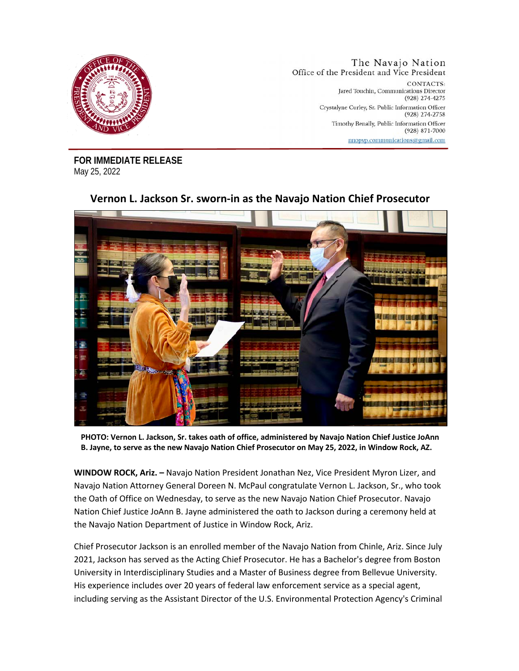

The Navajo Nation Office of the President and Vice President CONTACTS: Jared Touchin, Communications Director (928) 274-4275 Crystalyne Curley, Sr. Public Information Officer (928) 274-2758 Timothy Benally, Public Information Officer  $(928)$  871-7000 nnopvp.communications@gmail.com

**FOR IMMEDIATE RELEASE**  May 25, 2022

## **Vernon L. Jackson Sr. sworn-in as the Navajo Nation Chief Prosecutor**

**PHOTO: Vernon L. Jackson, Sr. takes oath of office, administered by Navajo Nation Chief Justice JoAnn B. Jayne, to serve as the new Navajo Nation Chief Prosecutor on May 25, 2022, in Window Rock, AZ.** 

**WINDOW ROCK, Ariz. –** Navajo Nation President Jonathan Nez, Vice President Myron Lizer, and Navajo Nation Attorney General Doreen N. McPaul congratulate Vernon L. Jackson, Sr., who took the Oath of Office on Wednesday, to serve as the new Navajo Nation Chief Prosecutor. Navajo Nation Chief Justice JoAnn B. Jayne administered the oath to Jackson during a ceremony held at the Navajo Nation Department of Justice in Window Rock, Ariz.

Chief Prosecutor Jackson is an enrolled member of the Navajo Nation from Chinle, Ariz. Since July 2021, Jackson has served as the Acting Chief Prosecutor. He has a Bachelor's degree from Boston University in Interdisciplinary Studies and a Master of Business degree from Bellevue University. His experience includes over 20 years of federal law enforcement service as a special agent, including serving as the Assistant Director of the U.S. Environmental Protection Agency's Criminal